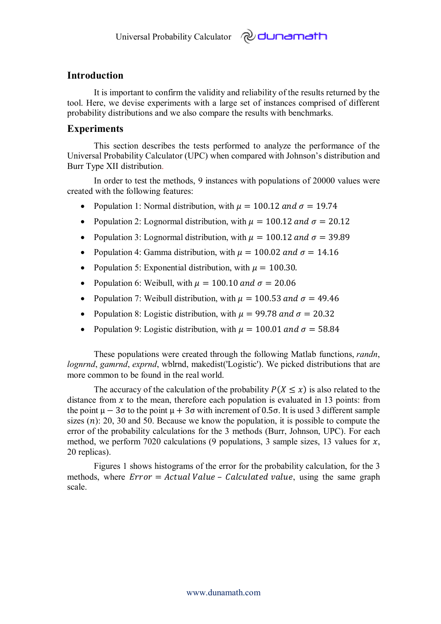## **Introduction**

It is important to confirm the validity and reliability of the results returned by the tool. Here, we devise experiments with a large set of instances comprised of different probability distributions and we also compare the results with benchmarks.

*പ്ര* dunamath

## **Experiments**

This section describes the tests performed to analyze the performance of the Universal Probability Calculator (UPC) when compared with Johnson's distribution and Burr Type XII distribution.

In order to test the methods, 9 instances with populations of 20000 values were created with the following features:

- Population 1: Normal distribution, with  $\mu = 100.12$  and  $\sigma = 19.74$
- Population 2: Lognormal distribution, with  $\mu = 100.12$  and  $\sigma = 20.12$
- Population 3: Lognormal distribution, with  $\mu = 100.12$  and  $\sigma = 39.89$
- Population 4: Gamma distribution, with  $\mu = 100.02$  and  $\sigma = 14.16$
- Population 5: Exponential distribution, with  $\mu = 100.30$ .
- Population 6: Weibull, with  $\mu = 100.10$  and  $\sigma = 20.06$
- Population 7: Weibull distribution, with  $\mu = 100.53$  and  $\sigma = 49.46$
- Population 8: Logistic distribution, with  $\mu = 99.78$  and  $\sigma = 20.32$
- Population 9: Logistic distribution, with  $\mu = 100.01$  and  $\sigma = 58.84$

These populations were created through the following Matlab functions, *randn*, *lognrnd*, *gamrnd*, *exprnd*, wblrnd, makedist('Logistic'). We picked distributions that are more common to be found in the real world.

The accuracy of the calculation of the probability  $P(X \leq x)$  is also related to the distance from  $x$  to the mean, therefore each population is evaluated in 13 points: from the point  $\mu - 3\sigma$  to the point  $\mu + 3\sigma$  with increment of 0.5 $\sigma$ . It is used 3 different sample sizes  $(n)$ : 20, 30 and 50. Because we know the population, it is possible to compute the error of the probability calculations for the 3 methods (Burr, Johnson, UPC). For each method, we perform 7020 calculations (9 populations, 3 sample sizes, 13 values for  $x$ , 20 replicas).

Figures 1 shows histograms of the error for the probability calculation, for the 3 methods, where  $Error = Actual Value - Calculated value$ , using the same graph scale.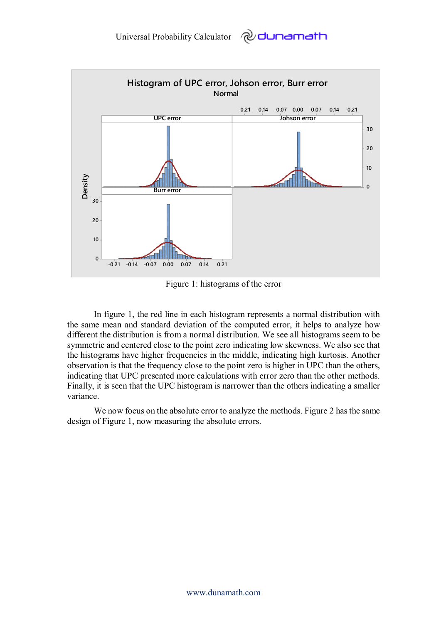

Figure 1: histograms of the error

In figure 1, the red line in each histogram represents a normal distribution with the same mean and standard deviation of the computed error, it helps to analyze how different the distribution is from a normal distribution. We see all histograms seem to be symmetric and centered close to the point zero indicating low skewness. We also see that the histograms have higher frequencies in the middle, indicating high kurtosis. Another observation is that the frequency close to the point zero is higher in UPC than the others, indicating that UPC presented more calculations with error zero than the other methods. Finally, it is seen that the UPC histogram is narrower than the others indicating a smaller variance.

We now focus on the absolute error to analyze the methods. Figure 2 has the same design of Figure 1, now measuring the absolute errors.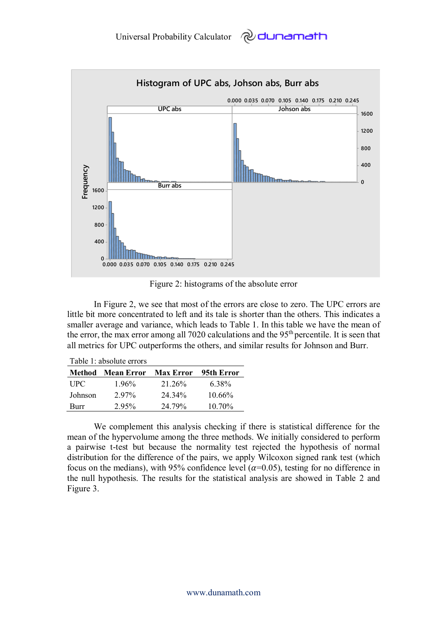

Figure 2: histograms of the absolute error

In Figure 2, we see that most of the errors are close to zero. The UPC errors are little bit more concentrated to left and its tale is shorter than the others. This indicates a smaller average and variance, which leads to Table 1. In this table we have the mean of the error, the max error among all 7020 calculations and the  $95<sup>th</sup>$  percentile. It is seen that all metrics for UPC outperforms the others, and similar results for Johnson and Burr.

| Table 1: absolute errors |                      |        |              |  |  |
|--------------------------|----------------------|--------|--------------|--|--|
| Method                   | Mean Error Max Error |        | – 95th Error |  |  |
| <b>UPC</b>               | $1.96\%$             | 21.26% | 6.38%        |  |  |
| Johnson                  | $2.97\%$             | 24.34% | $10.66\%$    |  |  |
| Burr                     | 2.95%                | 24.79% | 10.70%       |  |  |

Table 1: absolute errors

We complement this analysis checking if there is statistical difference for the mean of the hypervolume among the three methods. We initially considered to perform a pairwise t-test but because the normality test rejected the hypothesis of normal distribution for the difference of the pairs, we apply Wilcoxon signed rank test (which focus on the medians), with 95% confidence level ( $\alpha$ =0.05), testing for no difference in the null hypothesis. The results for the statistical analysis are showed in Table 2 and Figure 3.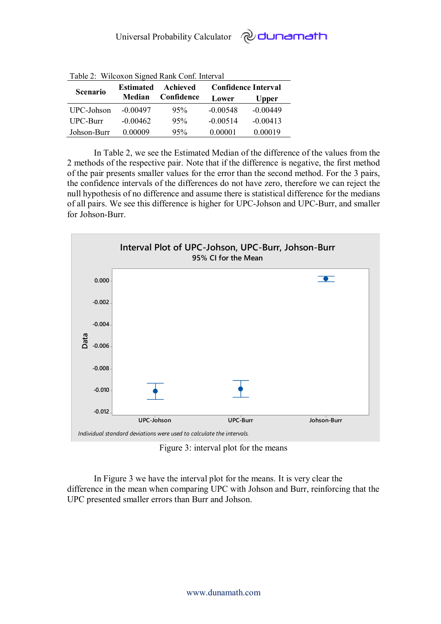| Tuble 2. Whenen bighed Ruim Comp. millet van |                  |                        |                            |              |  |
|----------------------------------------------|------------------|------------------------|----------------------------|--------------|--|
| <b>Scenario</b>                              | <b>Estimated</b> | Achieved<br>Confidence | <b>Confidence Interval</b> |              |  |
|                                              | <b>Median</b>    |                        | Lower                      | <b>Upper</b> |  |
| UPC-Johson                                   | $-0.00497$       | 95%                    | $-0.00548$                 | $-0.00449$   |  |
| <b>UPC-Burr</b>                              | $-0.00462$       | 95%                    | $-0.00514$                 | $-0.00413$   |  |
| Johson-Burr                                  | 0.00009          | 95%                    | 0.00001                    | 0.00019      |  |

Table 2: Wilcoxon Signed Rank Conf. Interval

In Table 2, we see the Estimated Median of the difference of the values from the 2 methods of the respective pair. Note that if the difference is negative, the first method of the pair presents smaller values for the error than the second method. For the 3 pairs, the confidence intervals of the differences do not have zero, therefore we can reject the null hypothesis of no difference and assume there is statistical difference for the medians of all pairs. We see this difference is higher for UPC-Johson and UPC-Burr, and smaller for Johson-Burr.



Figure 3: interval plot for the means

In Figure 3 we have the interval plot for the means. It is very clear the difference in the mean when comparing UPC with Johson and Burr, reinforcing that the UPC presented smaller errors than Burr and Johson.